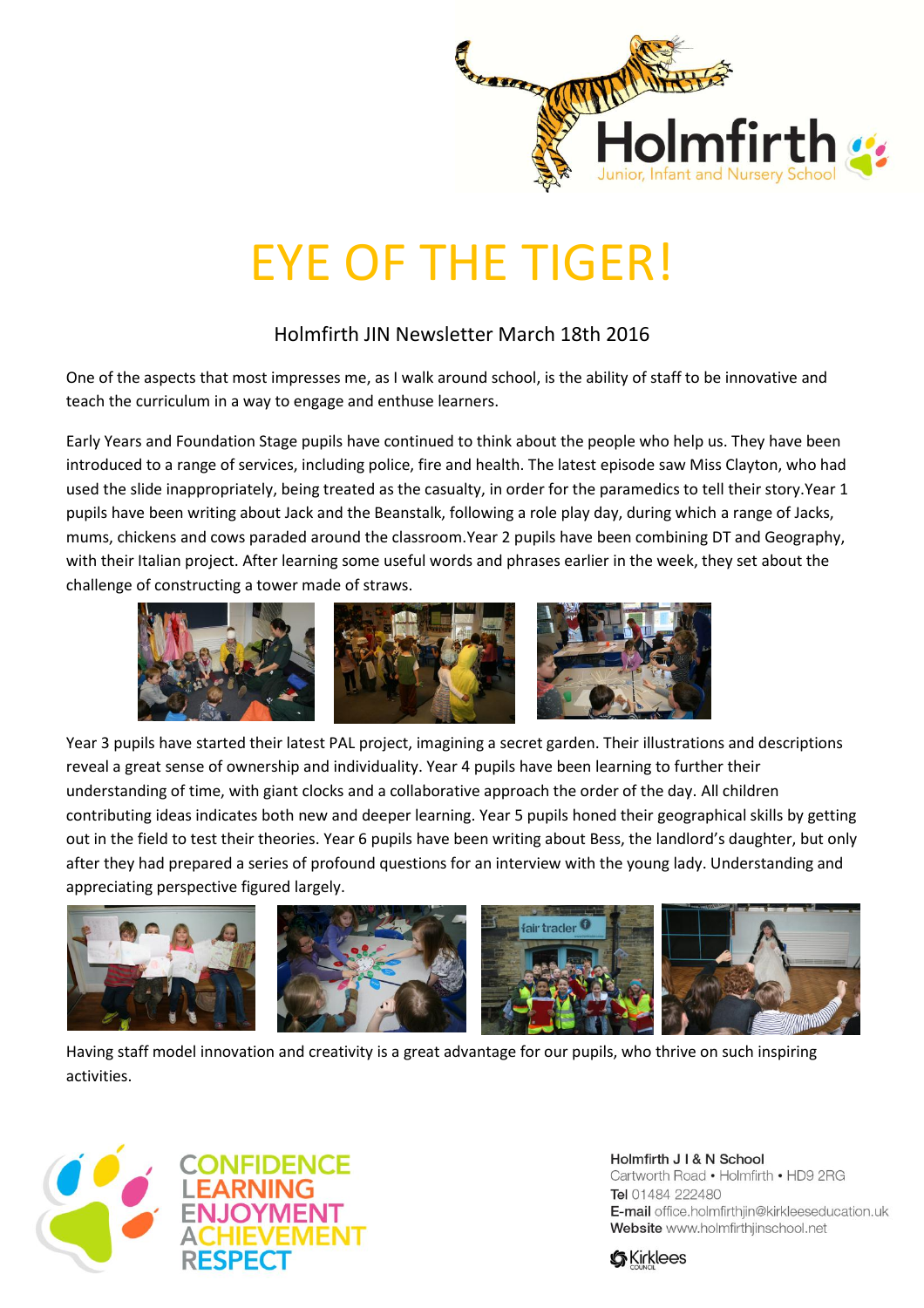

## EYE OF THE TIGER!

## Holmfirth JIN Newsletter March 18th 2016

One of the aspects that most impresses me, as I walk around school, is the ability of staff to be innovative and teach the curriculum in a way to engage and enthuse learners.

Early Years and Foundation Stage pupils have continued to think about the people who help us. They have been introduced to a range of services, including police, fire and health. The latest episode saw Miss Clayton, who had used the slide inappropriately, being treated as the casualty, in order for the paramedics to tell their story.Year 1 pupils have been writing about Jack and the Beanstalk, following a role play day, during which a range of Jacks, mums, chickens and cows paraded around the classroom.Year 2 pupils have been combining DT and Geography, with their Italian project. After learning some useful words and phrases earlier in the week, they set about the challenge of constructing a tower made of straws.



Year 3 pupils have started their latest PAL project, imagining a secret garden. Their illustrations and descriptions reveal a great sense of ownership and individuality. Year 4 pupils have been learning to further their understanding of time, with giant clocks and a collaborative approach the order of the day. All children contributing ideas indicates both new and deeper learning. Year 5 pupils honed their geographical skills by getting out in the field to test their theories. Year 6 pupils have been writing about Bess, the landlord's daughter, but only after they had prepared a series of profound questions for an interview with the young lady. Understanding and appreciating perspective figured largely.



Having staff model innovation and creativity is a great advantage for our pupils, who thrive on such inspiring activities.



Holmfirth J I & N School Cartworth Road . Holmfirth . HD9 2RG Tel 01484 222480 E-mail office.holmfirthjin@kirkleeseducation.uk Website www.holmfirthjinschool.net